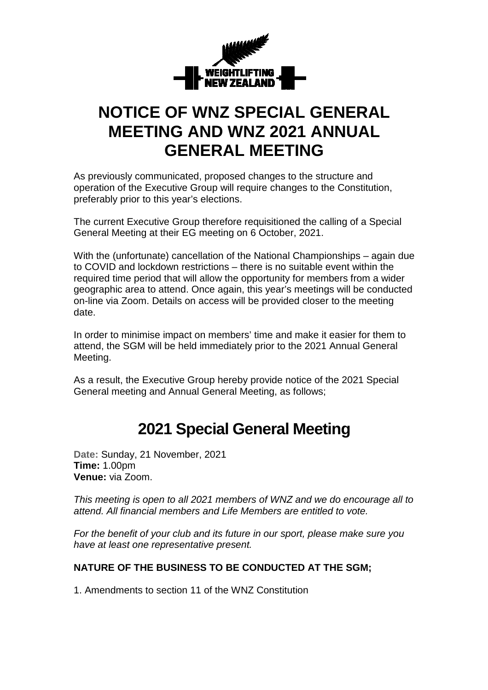

## **NOTICE OF WNZ SPECIAL GENERAL MEETING AND WNZ 2021 ANNUAL GENERAL MEETING**

As previously communicated, proposed changes to the structure and operation of the Executive Group will require changes to the Constitution, preferably prior to this year's elections.

The current Executive Group therefore requisitioned the calling of a Special General Meeting at their EG meeting on 6 October, 2021.

With the (unfortunate) cancellation of the National Championships – again due to COVID and lockdown restrictions – there is no suitable event within the required time period that will allow the opportunity for members from a wider geographic area to attend. Once again, this year's meetings will be conducted on-line via Zoom. Details on access will be provided closer to the meeting date.

In order to minimise impact on members' time and make it easier for them to attend, the SGM will be held immediately prior to the 2021 Annual General Meeting.

As a result, the Executive Group hereby provide notice of the 2021 Special General meeting and Annual General Meeting, as follows;

## **2021 Special General Meeting**

**Date:** Sunday, 21 November, 2021 **Time:** 1.00pm **Venue:** via Zoom.

This meeting is open to all 2021 members of WNZ and we do encourage all to attend. All financial members and Life Members are entitled to vote.

For the benefit of your club and its future in our sport, please make sure you have at least one representative present.

#### **NATURE OF THE BUSINESS TO BE CONDUCTED AT THE SGM;**

1. Amendments to section 11 of the WNZ Constitution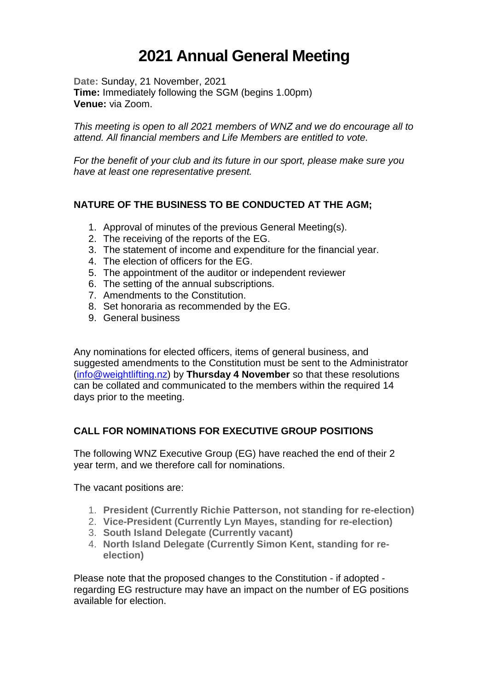# **2021 Annual General Meeting**

**Date:** Sunday, 21 November, 2021 **Time:** Immediately following the SGM (begins 1.00pm) **Venue:** via Zoom.

This meeting is open to all 2021 members of WNZ and we do encourage all to attend. All financial members and Life Members are entitled to vote.

For the benefit of your club and its future in our sport, please make sure you have at least one representative present.

#### **NATURE OF THE BUSINESS TO BE CONDUCTED AT THE AGM;**

- 1. Approval of minutes of the previous General Meeting(s).
- 2. The receiving of the reports of the EG.
- 3. The statement of income and expenditure for the financial year.
- 4. The election of officers for the EG.
- 5. The appointment of the auditor or independent reviewer
- 6. The setting of the annual subscriptions.
- 7. Amendments to the Constitution.
- 8. Set honoraria as recommended by the EG.
- 9. General business

Any nominations for elected officers, items of general business, and suggested amendments to the Constitution must be sent to the Administrator (info@weightlifting.nz) by **Thursday 4 November** so that these resolutions can be collated and communicated to the members within the required 14 days prior to the meeting.

#### **CALL FOR NOMINATIONS FOR EXECUTIVE GROUP POSITIONS**

The following WNZ Executive Group (EG) have reached the end of their 2 year term, and we therefore call for nominations.

The vacant positions are:

- 1. **President (Currently Richie Patterson, not standing for re-election)**
- 2. **Vice-President (Currently Lyn Mayes, standing for re-election)**
- 3. **South Island Delegate (Currently vacant)**
- 4. **North Island Delegate (Currently Simon Kent, standing for reelection)**

Please note that the proposed changes to the Constitution - if adopted regarding EG restructure may have an impact on the number of EG positions available for election.